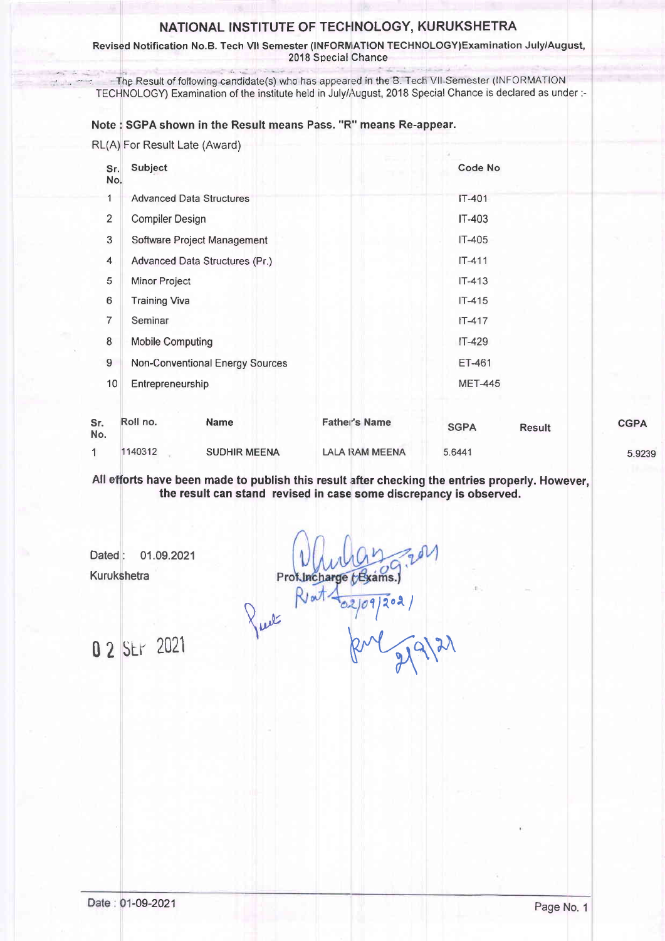## NATIONAL INSTITUTE OF TECHNOLOGY, KURUKSHETRA

Revised Notification No.B. Tech Vll Semester (INFORNIATION TECHNOLOGY)Examination July/August, 2018 Special Chance

The Result of following candidate(s) who has appeared in the B. Tech VII Semester (INFORMATION TECHNOLOGY) Examination of the institute held in July/August, 2018 Special Chance is declared as under:-

Note : SGPA shown in the Result means Pass. "R" means Re-appear.

RL(A) For Result Late (Award)

| Subject                         | Code No        |
|---------------------------------|----------------|
| <b>Advanced Data Structures</b> | IT-401         |
| <b>Compiler Design</b>          | IT-403         |
| Software Project Management     | $IT-405$       |
| Advanced Data Structures (Pr.)  | $IT-411$       |
| Minor Project                   | $IT-413$       |
| <b>Training Viva</b>            | $IT-415$       |
| Seminar                         | $IT-417$       |
| <b>Mobile Computing</b>         | IT-429         |
| Non-Conventional Energy Sources | ET-461         |
| Entrepreneurship                | <b>MET-445</b> |
|                                 |                |
| No.                             |                |

| Sr.<br>No. | Roll no. | Name                | <b>Father's Name</b> | <b>SGPA</b> | <b>Result</b> | <b>CGPA</b> |
|------------|----------|---------------------|----------------------|-------------|---------------|-------------|
|            | 1140312  | <b>SUDHIR MEENA</b> | LALA RAM MEENA       | 5.6441      |               | 5.9239      |

All efforts have been made to publish this result after checking the entries properly. However, the result can stand revised in case some discrepancy is observed.

Dated: 01.09.2021 Kurukshetra

fuel Riat Prof. Incharge to xams  $\overline{9/202}$ 

02 Str 2021 Rul gjalzr

-09-2021 Page No. <sup>1</sup>